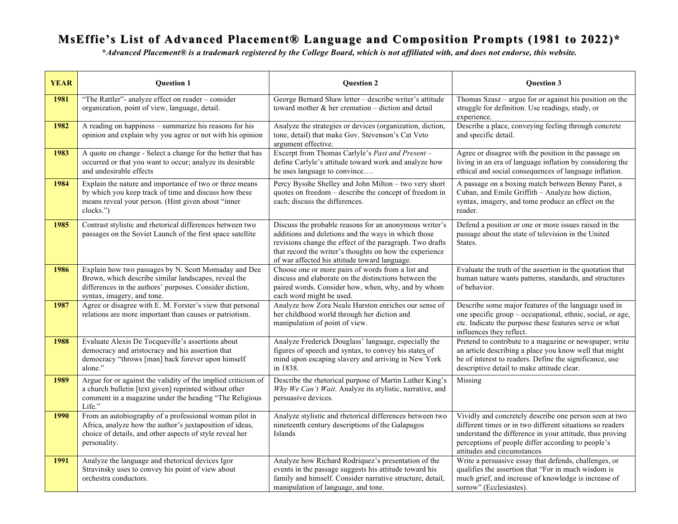## MsEffie's List of Advanced Placement® Language and Composition Prompts (1981 to 2022)\*

**\****Advanced Placement® is a trademark registered by the College Board, which is not affiliated with, and does not endorse, this website.*

| <b>YEAR</b> | <b>Question 1</b>                                                                                                                                                                                     | <b>Question 2</b>                                                                                                                                                                                                                                                                     | Question 3                                                                                                                                                                                                                                                           |
|-------------|-------------------------------------------------------------------------------------------------------------------------------------------------------------------------------------------------------|---------------------------------------------------------------------------------------------------------------------------------------------------------------------------------------------------------------------------------------------------------------------------------------|----------------------------------------------------------------------------------------------------------------------------------------------------------------------------------------------------------------------------------------------------------------------|
| 1981        | "The Rattler"- analyze effect on reader - consider<br>organization, point of view, language, detail.                                                                                                  | George Bernard Shaw letter - describe writer's attitude<br>toward mother $\&$ her cremation – diction and detail                                                                                                                                                                      | Thomas Szasz – argue for or against his position on the<br>struggle for definition. Use readings, study, or<br>experience.                                                                                                                                           |
| 1982        | A reading on happiness – summarize his reasons for his<br>opinion and explain why you agree or not with his opinion                                                                                   | Analyze the strategies or devices (organization, diction,<br>tone, detail) that make Gov. Stevenson's Cat Veto<br>argument effective.                                                                                                                                                 | Describe a place, conveying feeling through concrete<br>and specific detail.                                                                                                                                                                                         |
| 1983        | A quote on change - Select a change for the better that has<br>occurred or that you want to occur; analyze its desirable<br>and undesirable effects                                                   | Excerpt from Thomas Carlyle's Past and Present-<br>define Carlyle's attitude toward work and analyze how<br>he uses language to convince                                                                                                                                              | Agree or disagree with the position in the passage on<br>living in an era of language inflation by considering the<br>ethical and social consequences of language inflation.                                                                                         |
| 1984        | Explain the nature and importance of two or three means<br>by which you keep track of time and discuss how these<br>means reveal your person. (Hint given about "inner<br>clocks.")                   | Percy Bysshe Shelley and John Milton - two very short<br>quotes on freedom - describe the concept of freedom in<br>each; discuss the differences.                                                                                                                                     | A passage on a boxing match between Benny Paret, a<br>Cuban, and Emile Griffith - Analyze how diction,<br>syntax, imagery, and tome produce an effect on the<br>reader.                                                                                              |
| 1985        | Contrast stylistic and rhetorical differences between two<br>passages on the Soviet Launch of the first space satellite                                                                               | Discuss the probable reasons for an anonymous writer's<br>additions and deletions and the ways in which those<br>revisions change the effect of the paragraph. Two drafts<br>that record the writer's thoughts on how the experience<br>of war affected his attitude toward language. | Defend a position or one or more issues raised in the<br>passage about the state of television in the United<br>States.                                                                                                                                              |
| 1986        | Explain how two passages by N. Scott Momaday and Dee<br>Brown, which describe similar landscapes, reveal the<br>differences in the authors' purposes. Consider diction,<br>syntax, imagery, and tone. | Choose one or more pairs of words from a list and<br>discuss and elaborate on the distinctions between the<br>paired words. Consider how, when, why, and by whom<br>each word might be used.                                                                                          | Evaluate the truth of the assertion in the quotation that<br>human nature wants patterns, standards, and structures<br>of behavior.                                                                                                                                  |
| 1987        | Agree or disagree with E. M. Forster's view that personal<br>relations are more important than causes or patriotism.                                                                                  | Analyze how Zora Neale Hurston enriches our sense of<br>her childhood world through her diction and<br>manipulation of point of view.                                                                                                                                                 | Describe some major features of the language used in<br>one specific group – occupational, ethnic, social, or age,<br>etc. Indicate the purpose these features serve or what<br>influences they reflect.                                                             |
| 1988        | Evaluate Alexis De Tocqueville's assertions about<br>democracy and aristocracy and his assertion that<br>democracy "throws [man] back forever upon himself<br>alone."                                 | Analyze Frederick Douglass' language, especially the<br>figures of speech and syntax, to convey his states of<br>mind upon escaping slavery and arriving in New York<br>in 1838.                                                                                                      | Pretend to contribute to a magazine or newspaper; write<br>an article describing a place you know well that might<br>be of interest to readers. Define the significance, use<br>descriptive detail to make attitude clear.                                           |
| 1989        | Argue for or against the validity of the implied criticism of<br>a church bulletin [text given] reprinted without other<br>comment in a magazine under the heading "The Religious<br>Life."           | Describe the rhetorical purpose of Martin Luther King's<br>Why We Can't Wait. Analyze its stylistic, narrative, and<br>persuasive devices.                                                                                                                                            | Missing                                                                                                                                                                                                                                                              |
| 1990        | From an autobiography of a professional woman pilot in<br>Africa, analyze how the author's juxtaposition of ideas,<br>choice of details, and other aspects of style reveal her<br>personality.        | Analyze stylistic and rhetorical differences between two<br>nineteenth century descriptions of the Galapagos<br>Islands                                                                                                                                                               | Vividly and concretely describe one person seen at two<br>different times or in two different situations so readers<br>understand the difference in your attitude, thus proving<br>perceptions of people differ according to people's<br>attitudes and circumstances |
| 1991        | Analyze the language and rhetorical devices Igor<br>Stravinsky uses to convey his point of view about<br>orchestra conductors.                                                                        | Analyze how Richard Rodriquez's presentation of the<br>events in the passage suggests his attitude toward his<br>family and himself. Consider narrative structure, detail,<br>manipulation of language, and tone.                                                                     | Write a persuasive essay that defends, challenges, or<br>qualifies the assertion that "For in much wisdom is<br>much grief, and increase of knowledge is increase of<br>sorrow" (Ecclesiastes).                                                                      |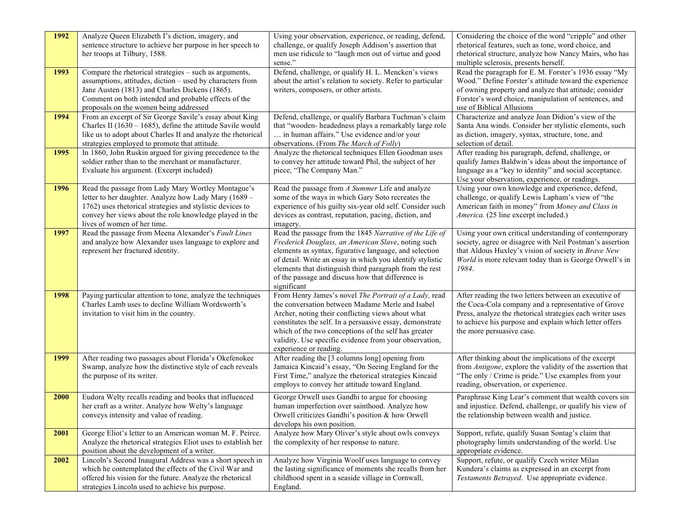| 1992 | Analyze Queen Elizabeth I's diction, imagery, and<br>sentence structure to achieve her purpose in her speech to<br>her troops at Tilbury, 1588.                                                                                                                         | Using your observation, experience, or reading, defend,<br>challenge, or qualify Joseph Addison's assertion that<br>men use ridicule to "laugh men out of virtue and good<br>sense."                                                                                                                                                                                   | Considering the choice of the word "cripple" and other<br>rhetorical features, such as tone, word choice, and<br>rhetorical structure, analyze how Nancy Mairs, who has<br>multiple sclerosis, presents herself.                                                 |
|------|-------------------------------------------------------------------------------------------------------------------------------------------------------------------------------------------------------------------------------------------------------------------------|------------------------------------------------------------------------------------------------------------------------------------------------------------------------------------------------------------------------------------------------------------------------------------------------------------------------------------------------------------------------|------------------------------------------------------------------------------------------------------------------------------------------------------------------------------------------------------------------------------------------------------------------|
| 1993 | Compare the rhetorical strategies - such as arguments,<br>assumptions, attitudes, diction – used by characters from<br>Jane Austen (1813) and Charles Dickens (1865).<br>Comment on both intended and probable effects of the<br>proposals on the women being addressed | Defend, challenge, or qualify H. L. Mencken's views<br>about the artist's relation to society. Refer to particular<br>writers, composers, or other artists.                                                                                                                                                                                                            | Read the paragraph for E. M. Forster's 1936 essay "My<br>Wood." Define Forster's attitude toward the experience<br>of owning property and analyze that attitude; consider<br>Forster's word choice, manipulation of sentences, and<br>use of Biblical Allusions  |
| 1994 | From an excerpt of Sir George Savile's essay about King<br>Charles II (1630 – 1685), define the attitude Savile would<br>like us to adopt about Charles II and analyze the rhetorical<br>strategies employed to promote that attitude.                                  | Defend, challenge, or qualify Barbara Tuchman's claim<br>that "wooden- headedness plays a remarkably large role<br>in human affairs." Use evidence and/or your<br>observations. (From The March of Folly)                                                                                                                                                              | Characterize and analyze Joan Didion's view of the<br>Santa Ana winds. Consider her stylistic elements, such<br>as diction, imagery, syntax, structure, tone, and<br>selection of detail.                                                                        |
| 1995 | In 1860, John Ruskin argued for giving precedence to the<br>soldier rather than to the merchant or manufacturer.<br>Evaluate his argument. (Excerpt included)                                                                                                           | Analyze the rhetorical techniques Ellen Goodman uses<br>to convey her attitude toward Phil, the subject of her<br>piece, "The Company Man."                                                                                                                                                                                                                            | After reading his paragraph, defend, challenge, or<br>qualify James Baldwin's ideas about the importance of<br>language as a "key to identity" and social acceptance.<br>Use your observation, experience, or readings.                                          |
| 1996 | Read the passage from Lady Mary Wortley Montague's<br>letter to her daughter. Analyze how Lady Mary (1689 -<br>1762) uses rhetorical strategies and stylistic devices to<br>convey her views about the role knowledge played in the<br>lives of women of her time.      | Read the passage from A Summer Life and analyze<br>some of the ways in which Gary Soto recreates the<br>experience of his guilty six-year old self. Consider such<br>devices as contrast, reputation, pacing, diction, and<br>imagery.                                                                                                                                 | Using your own knowledge and experience, defend,<br>challenge, or qualify Lewis Lapham's view of "the<br>American faith in money" from Money and Class in<br><i>America.</i> (25 line excerpt included.)                                                         |
| 1997 | Read the passage from Meena Alexander's Fault Lines<br>and analyze how Alexander uses language to explore and<br>represent her fractured identity.                                                                                                                      | Read the passage from the 1845 Narrative of the Life of<br>Frederick Douglass, an American Slave, noting such<br>elements as syntax, figurative language, and selection<br>of detail. Write an essay in which you identify stylistic<br>elements that distinguish third paragraph from the rest<br>of the passage and discuss how that difference is<br>significant    | Using your own critical understanding of contemporary<br>society, agree or disagree with Neil Postman's assertion<br>that Aldous Huxley's vision of society in Brave New<br>World is more relevant today than is George Orwell's in<br>1984.                     |
| 1998 | Paying particular attention to tone, analyze the techniques<br>Charles Lamb uses to decline William Wordsworth's<br>invitation to visit him in the country.                                                                                                             | From Henry James's novel The Portrait of a Lady, read<br>the conversation between Madame Merle and Isabel<br>Archer, noting their conflicting views about what<br>constitutes the self. In a persuasive essay, demonstrate<br>which of the two conceptions of the self has greater<br>validity. Use specific evidence from your observation,<br>experience or reading. | After reading the two letters between an executive of<br>the Coca-Cola company and a representative of Grove<br>Press, analyze the rhetorical strategies each writer uses<br>to achieve his purpose and explain which letter offers<br>the more persuasive case. |
| 1999 | After reading two passages about Florida's Okefenokee<br>Swamp, analyze how the distinctive style of each reveals<br>the purpose of its writer.                                                                                                                         | After reading the [3 columns long] opening from<br>Jamaica Kincaid's essay, "On Seeing England for the<br>First Time," analyze the rhetorical strategies Kincaid<br>employs to convey her attitude toward England.                                                                                                                                                     | After thinking about the implications of the excerpt<br>from Antigone, explore the validity of the assertion that<br>"The only / Crime is pride." Use examples from your<br>reading, observation, or experience.                                                 |
| 2000 | Eudora Welty recalls reading and books that influenced<br>her craft as a writer. Analyze how Welty's language<br>conveys intensity and value of reading.                                                                                                                | George Orwell uses Gandhi to argue for choosing<br>human imperfection over sainthood. Analyze how<br>Orwell criticizes Gandhi's position & how Orwell<br>develops his own position.                                                                                                                                                                                    | Paraphrase King Lear's comment that wealth covers sin<br>and injustice. Defend, challenge, or qualify his view of<br>the relationship between wealth and justice.                                                                                                |
| 2001 | George Eliot's letter to an American woman M. F. Peirce.<br>Analyze the rhetorical strategies Eliot uses to establish her<br>position about the development of a writer.                                                                                                | Analyze how Mary Oliver's style about owls conveys<br>the complexity of her response to nature.                                                                                                                                                                                                                                                                        | Support, refute, qualify Susan Sontag's claim that<br>photography limits understanding of the world. Use<br>appropriate evidence.                                                                                                                                |
| 2002 | Lincoln's Second Inaugural Address was a short speech in<br>which he contemplated the effects of the Civil War and<br>offered his vision for the future. Analyze the rhetorical<br>strategies Lincoln used to achieve his purpose.                                      | Analyze how Virginia Woolf uses language to convey<br>the lasting significance of moments she recalls from her<br>childhood spent in a seaside village in Cornwall,<br>England.                                                                                                                                                                                        | Support, refute, or qualify Czech writer Milan<br>Kundera's claims as expressed in an excerpt from<br>Testaments Betrayed. Use appropriate evidence.                                                                                                             |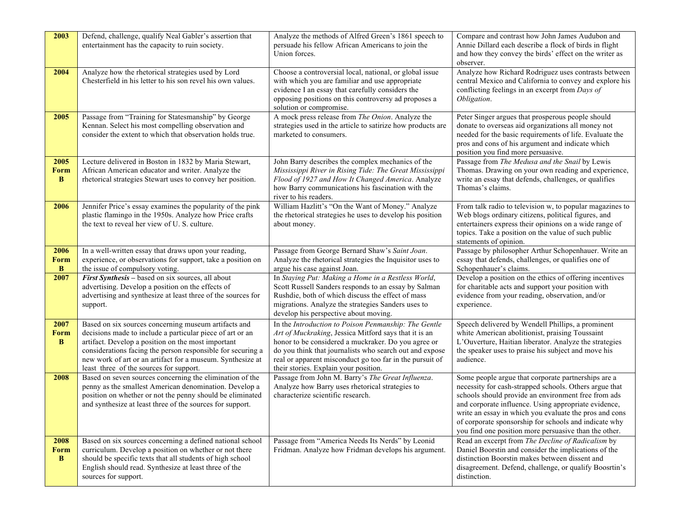| 2003                     | Defend, challenge, qualify Neal Gabler's assertion that<br>entertainment has the capacity to ruin society.                                                                                                                                                                                                                                      | Analyze the methods of Alfred Green's 1861 speech to<br>persuade his fellow African Americans to join the<br>Union forces.                                                                                                                                                                                                           | Compare and contrast how John James Audubon and<br>Annie Dillard each describe a flock of birds in flight<br>and how they convey the birds' effect on the writer as<br>observer.                                                                                                                                                                                                                         |
|--------------------------|-------------------------------------------------------------------------------------------------------------------------------------------------------------------------------------------------------------------------------------------------------------------------------------------------------------------------------------------------|--------------------------------------------------------------------------------------------------------------------------------------------------------------------------------------------------------------------------------------------------------------------------------------------------------------------------------------|----------------------------------------------------------------------------------------------------------------------------------------------------------------------------------------------------------------------------------------------------------------------------------------------------------------------------------------------------------------------------------------------------------|
| 2004                     | Analyze how the rhetorical strategies used by Lord<br>Chesterfield in his letter to his son revel his own values.                                                                                                                                                                                                                               | Choose a controversial local, national, or global issue<br>with which you are familiar and use appropriate<br>evidence I an essay that carefully considers the<br>opposing positions on this controversy ad proposes a<br>solution or compromise.                                                                                    | Analyze how Richard Rodriguez uses contrasts between<br>central Mexico and California to convey and explore his<br>conflicting feelings in an excerpt from Days of<br>Obligation.                                                                                                                                                                                                                        |
| 2005                     | Passage from "Training for Statesmanship" by George<br>Kennan. Select his most compelling observation and<br>consider the extent to which that observation holds true.                                                                                                                                                                          | A mock press release from The Onion. Analyze the<br>strategies used in the article to satirize how products are<br>marketed to consumers.                                                                                                                                                                                            | Peter Singer argues that prosperous people should<br>donate to overseas aid organizations all money not<br>needed for the basic requirements of life. Evaluate the<br>pros and cons of his argument and indicate which<br>position you find more persuasive.                                                                                                                                             |
| 2005<br><b>Form</b><br>B | Lecture delivered in Boston in 1832 by Maria Stewart,<br>African American educator and writer. Analyze the<br>rhetorical strategies Stewart uses to convey her position.                                                                                                                                                                        | John Barry describes the complex mechanics of the<br>Mississippi River in Rising Tide: The Great Mississippi<br>Flood of 1927 and How It Changed America. Analyze<br>how Barry communications his fascination with the<br>river to his readers.                                                                                      | Passage from The Medusa and the Snail by Lewis<br>Thomas. Drawing on your own reading and experience,<br>write an essay that defends, challenges, or qualifies<br>Thomas's claims.                                                                                                                                                                                                                       |
| 2006                     | Jennifer Price's essay examines the popularity of the pink<br>plastic flamingo in the 1950s. Analyze how Price crafts<br>the text to reveal her view of U.S. culture.                                                                                                                                                                           | William Hazlitt's "On the Want of Money." Analyze<br>the rhetorical strategies he uses to develop his position<br>about money.                                                                                                                                                                                                       | From talk radio to television w, to popular magazines to<br>Web blogs ordinary citizens, political figures, and<br>entertainers express their opinions on a wide range of<br>topics. Take a position on the value of such public<br>statements of opinion.                                                                                                                                               |
| 2006<br>Form<br>B        | In a well-written essay that draws upon your reading,<br>experience, or observations for support, take a position on<br>the issue of compulsory voting.                                                                                                                                                                                         | Passage from George Bernard Shaw's Saint Joan.<br>Analyze the rhetorical strategies the Inquisitor uses to<br>argue his case against Joan.                                                                                                                                                                                           | Passage by philosopher Arthur Schopenhauer. Write an<br>essay that defends, challenges, or qualifies one of<br>Schopenhauer's claims.                                                                                                                                                                                                                                                                    |
| 2007                     | First Synthesis – based on six sources, all about<br>advertising. Develop a position on the effects of<br>advertising and synthesize at least three of the sources for<br>support.                                                                                                                                                              | In Staying Put: Making a Home in a Restless World,<br>Scott Russell Sanders responds to an essay by Salman<br>Rushdie, both of which discuss the effect of mass<br>migrations. Analyze the strategies Sanders uses to<br>develop his perspective about moving.                                                                       | Develop a position on the ethics of offering incentives<br>for charitable acts and support your position with<br>evidence from your reading, observation, and/or<br>experience.                                                                                                                                                                                                                          |
| 2007<br><b>Form</b><br>B | Based on six sources concerning museum artifacts and<br>decisions made to include a particular piece of art or an<br>artifact. Develop a position on the most important<br>considerations facing the person responsible for securing a<br>new work of art or an artifact for a museum. Synthesize at<br>least three of the sources for support. | In the Introduction to Poison Penmanship: The Gentle<br>Art of Muckraking, Jessica Mitford says that it is an<br>honor to be considered a muckraker. Do you agree or<br>do you think that journalists who search out and expose<br>real or apparent misconduct go too far in the pursuit of<br>their stories. Explain your position. | Speech delivered by Wendell Phillips, a prominent<br>white American abolitionist, praising Toussaint<br>L'Ouverture, Haitian liberator. Analyze the strategies<br>the speaker uses to praise his subject and move his<br>audience.                                                                                                                                                                       |
| 2008                     | Based on seven sources concerning the elimination of the<br>penny as the smallest American denomination. Develop a<br>position on whether or not the penny should be eliminated<br>and synthesize at least three of the sources for support.                                                                                                    | Passage from John M. Barry's The Great Influenza.<br>Analyze how Barry uses rhetorical strategies to<br>characterize scientific research.                                                                                                                                                                                            | Some people argue that corporate partnerships are a<br>necessity for cash-strapped schools. Others argue that<br>schools should provide an environment free from ads<br>and corporate influence. Using appropriate evidence,<br>write an essay in which you evaluate the pros and cons<br>of corporate sponsorship for schools and indicate why<br>you find one position more persuasive than the other. |
| 2008<br><b>Form</b><br>B | Based on six sources concerning a defined national school<br>curriculum. Develop a position on whether or not there<br>should be specific texts that all students of high school<br>English should read. Synthesize at least three of the<br>sources for support.                                                                               | Passage from "America Needs Its Nerds" by Leonid<br>Fridman. Analyze how Fridman develops his argument.                                                                                                                                                                                                                              | Read an excerpt from The Decline of Radicalism by<br>Daniel Boorstin and consider the implications of the<br>distinction Boorstin makes between dissent and<br>disagreement. Defend, challenge, or qualify Boosrtin's<br>distinction.                                                                                                                                                                    |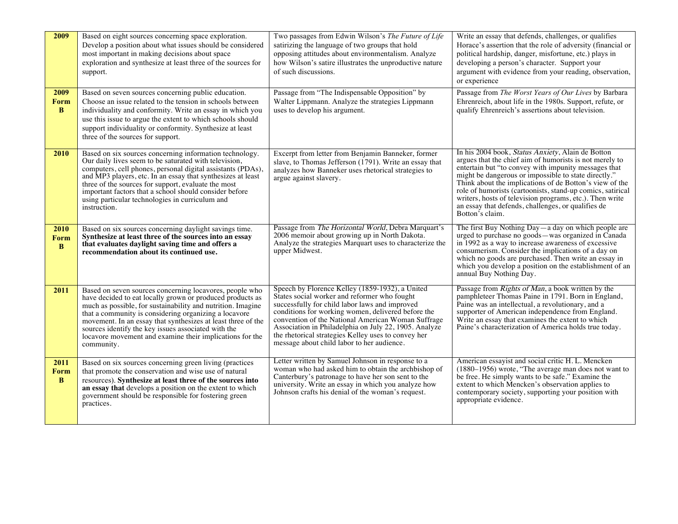| 2009                     | Based on eight sources concerning space exploration.<br>Develop a position about what issues should be considered<br>most important in making decisions about space<br>exploration and synthesize at least three of the sources for<br>support.                                                                                                                                                                                               | Two passages from Edwin Wilson's The Future of Life<br>satirizing the language of two groups that hold<br>opposing attitudes about environmentalism. Analyze<br>how Wilson's satire illustrates the unproductive nature<br>of such discussions.                                                                                                                                                                             | Write an essay that defends, challenges, or qualifies<br>Horace's assertion that the role of adversity (financial or<br>political hardship, danger, misfortune, etc.) plays in<br>developing a person's character. Support your<br>argument with evidence from your reading, observation,<br>or experience                                                                                                                                                                                 |
|--------------------------|-----------------------------------------------------------------------------------------------------------------------------------------------------------------------------------------------------------------------------------------------------------------------------------------------------------------------------------------------------------------------------------------------------------------------------------------------|-----------------------------------------------------------------------------------------------------------------------------------------------------------------------------------------------------------------------------------------------------------------------------------------------------------------------------------------------------------------------------------------------------------------------------|--------------------------------------------------------------------------------------------------------------------------------------------------------------------------------------------------------------------------------------------------------------------------------------------------------------------------------------------------------------------------------------------------------------------------------------------------------------------------------------------|
| 2009<br><b>Form</b><br>B | Based on seven sources concerning public education.<br>Choose an issue related to the tension in schools between<br>individuality and conformity. Write an essay in which you<br>use this issue to argue the extent to which schools should<br>support individuality or conformity. Synthesize at least<br>three of the sources for support.                                                                                                  | Passage from "The Indispensable Opposition" by<br>Walter Lippmann. Analyze the strategies Lippmann<br>uses to develop his argument.                                                                                                                                                                                                                                                                                         | Passage from The Worst Years of Our Lives by Barbara<br>Ehrenreich, about life in the 1980s. Support, refute, or<br>qualify Ehrenreich's assertions about television.                                                                                                                                                                                                                                                                                                                      |
| 2010                     | Based on six sources concerning information technology.<br>Our daily lives seem to be saturated with television,<br>computers, cell phones, personal digital assistants (PDAs),<br>and MP3 players, etc. In an essay that synthesizes at least<br>three of the sources for support, evaluate the most<br>important factors that a school should consider before<br>using particular technologies in curriculum and<br>instruction.            | Excerpt from letter from Benjamin Banneker, former<br>slave, to Thomas Jefferson (1791). Write an essay that<br>analyzes how Banneker uses rhetorical strategies to<br>argue against slavery.                                                                                                                                                                                                                               | In his 2004 book, Status Anxiety, Alain de Botton<br>argues that the chief aim of humorists is not merely to<br>entertain but "to convey with impunity messages that<br>might be dangerous or impossible to state directly."<br>Think about the implications of de Botton's view of the<br>role of humorists (cartoonists, stand-up comics, satirical<br>writers, hosts of television programs, etc.). Then write<br>an essay that defends, challenges, or qualifies de<br>Botton's claim. |
| 2010<br>Form<br>B        | Based on six sources concerning daylight savings time.<br>Synthesize at least three of the sources into an essay<br>that evaluates daylight saving time and offers a<br>recommendation about its continued use.                                                                                                                                                                                                                               | Passage from The Horizontal World, Debra Marquart's<br>2006 memoir about growing up in North Dakota.<br>Analyze the strategies Marquart uses to characterize the<br>upper Midwest.                                                                                                                                                                                                                                          | The first Buy Nothing Day—a day on which people are<br>urged to purchase no goods—was organized in Canada<br>in 1992 as a way to increase awareness of excessive<br>consumerism. Consider the implications of a day on<br>which no goods are purchased. Then write an essay in<br>which you develop a position on the establishment of an<br>annual Buy Nothing Day.                                                                                                                       |
| 2011                     | Based on seven sources concerning locavores, people who<br>have decided to eat locally grown or produced products as<br>much as possible, for sustainability and nutrition. Imagine<br>that a community is considering organizing a locavore<br>movement. In an essay that synthesizes at least three of the<br>sources identify the key issues associated with the<br>locavore movement and examine their implications for the<br>community. | Speech by Florence Kelley (1859-1932), a United<br>States social worker and reformer who fought<br>successfully for child labor laws and improved<br>conditions for working women, delivered before the<br>convention of the National American Woman Suffrage<br>Association in Philadelphia on July 22, 1905. Analyze<br>the rhetorical strategies Kelley uses to convey her<br>message about child labor to her audience. | Passage from <i>Rights of Man</i> , a book written by the<br>pamphleteer Thomas Paine in 1791. Born in England,<br>Paine was an intellectual, a revolutionary, and a<br>supporter of American independence from England.<br>Write an essay that examines the extent to which<br>Paine's characterization of America holds true today.                                                                                                                                                      |
| 2011<br><b>Form</b><br>B | Based on six sources concerning green living (practices<br>that promote the conservation and wise use of natural<br>resources). Synthesize at least three of the sources into<br>an essay that develops a position on the extent to which<br>government should be responsible for fostering green<br>practices.                                                                                                                               | Letter written by Samuel Johnson in response to a<br>woman who had asked him to obtain the archbishop of<br>Canterbury's patronage to have her son sent to the<br>university. Write an essay in which you analyze how<br>Johnson crafts his denial of the woman's request.                                                                                                                                                  | American essayist and social critic H. L. Mencken<br>(1880–1956) wrote, "The average man does not want to<br>be free. He simply wants to be safe." Examine the<br>extent to which Mencken's observation applies to<br>contemporary society, supporting your position with<br>appropriate evidence.                                                                                                                                                                                         |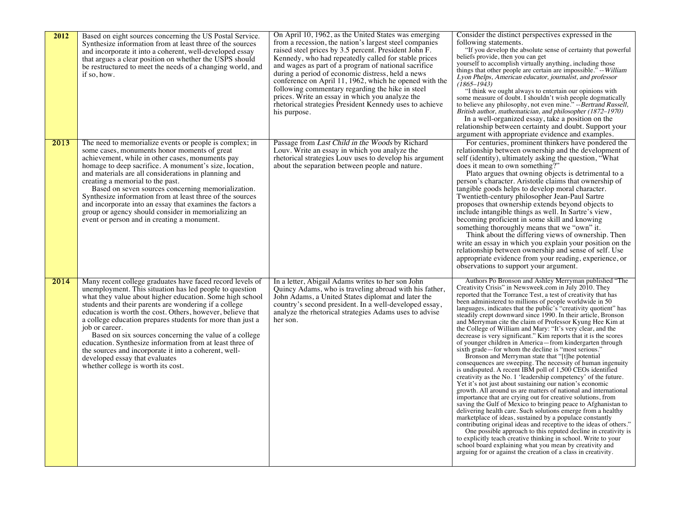| 2012 | Based on eight sources concerning the US Postal Service.<br>Synthesize information from at least three of the sources<br>and incorporate it into a coherent, well-developed essay<br>that argues a clear position on whether the USPS should<br>be restructured to meet the needs of a changing world, and<br>if so, how.                                                                                                                                                                                                                                                                                                                      | On April 10, 1962, as the United States was emerging<br>from a recession, the nation's largest steel companies<br>raised steel prices by 3.5 percent. President John F.<br>Kennedy, who had repeatedly called for stable prices<br>and wages as part of a program of national sacrifice<br>during a period of economic distress, held a news<br>conference on April 11, 1962, which he opened with the<br>following commentary regarding the hike in steel<br>prices. Write an essay in which you analyze the<br>rhetorical strategies President Kennedy uses to achieve<br>his purpose. | Consider the distinct perspectives expressed in the<br>following statements.<br>"If you develop the absolute sense of certainty that powerful<br>beliefs provide, then you can get<br>yourself to accomplish virtually anything, including those<br>things that other people are certain are impossible." -- William<br>Lyon Phelps, American educator, journalist, and professor<br>$(1865 - 1943)$<br>"I think we ought always to entertain our opinions with<br>some measure of doubt. I shouldn't wish people dogmatically<br>to believe any philosophy, not even mine." -- Bertrand Russell,<br>British author, mathematician, and philosopher (1872–1970)<br>In a well-organized essay, take a position on the<br>relationship between certainty and doubt. Support your<br>argument with appropriate evidence and examples.                                                                                                                                                                                                                                                                                                                                                                                                                                                                                                                                                                                                                                                                                                                                                                                                                                                    |
|------|------------------------------------------------------------------------------------------------------------------------------------------------------------------------------------------------------------------------------------------------------------------------------------------------------------------------------------------------------------------------------------------------------------------------------------------------------------------------------------------------------------------------------------------------------------------------------------------------------------------------------------------------|------------------------------------------------------------------------------------------------------------------------------------------------------------------------------------------------------------------------------------------------------------------------------------------------------------------------------------------------------------------------------------------------------------------------------------------------------------------------------------------------------------------------------------------------------------------------------------------|---------------------------------------------------------------------------------------------------------------------------------------------------------------------------------------------------------------------------------------------------------------------------------------------------------------------------------------------------------------------------------------------------------------------------------------------------------------------------------------------------------------------------------------------------------------------------------------------------------------------------------------------------------------------------------------------------------------------------------------------------------------------------------------------------------------------------------------------------------------------------------------------------------------------------------------------------------------------------------------------------------------------------------------------------------------------------------------------------------------------------------------------------------------------------------------------------------------------------------------------------------------------------------------------------------------------------------------------------------------------------------------------------------------------------------------------------------------------------------------------------------------------------------------------------------------------------------------------------------------------------------------------------------------------------------------|
| 2013 | The need to memorialize events or people is complex; in<br>some cases, monuments honor moments of great<br>achievement, while in other cases, monuments pay<br>homage to deep sacrifice. A monument's size, location,<br>and materials are all considerations in planning and<br>creating a memorial to the past.<br>Based on seven sources concerning memorialization.<br>Synthesize information from at least three of the sources<br>and incorporate into an essay that examines the factors a<br>group or agency should consider in memorializing an<br>event or person and in creating a monument.                                        | Passage from Last Child in the Woods by Richard<br>Louv. Write an essay in which you analyze the<br>rhetorical strategies Louv uses to develop his argument<br>about the separation between people and nature.                                                                                                                                                                                                                                                                                                                                                                           | For centuries, prominent thinkers have pondered the<br>relationship between ownership and the development of<br>self (identity), ultimately asking the question, "What<br>does it mean to own something?"<br>Plato argues that owning objects is detrimental to a<br>person's character. Aristotle claims that ownership of<br>tangible goods helps to develop moral character.<br>Twentieth-century philosopher Jean-Paul Sartre<br>proposes that ownership extends beyond objects to<br>include intangible things as well. In Sartre's view,<br>becoming proficient in some skill and knowing<br>something thoroughly means that we "own" it.<br>Think about the differing views of ownership. Then<br>write an essay in which you explain your position on the<br>relationship between ownership and sense of self. Use<br>appropriate evidence from your reading, experience, or<br>observations to support your argument.                                                                                                                                                                                                                                                                                                                                                                                                                                                                                                                                                                                                                                                                                                                                                        |
| 2014 | Many recent college graduates have faced record levels of<br>unemployment. This situation has led people to question<br>what they value about higher education. Some high school<br>students and their parents are wondering if a college<br>education is worth the cost. Others, however, believe that<br>a college education prepares students for more than just a<br>job or career.<br>Based on six sources concerning the value of a college<br>education. Synthesize information from at least three of<br>the sources and incorporate it into a coherent, well-<br>developed essay that evaluates<br>whether college is worth its cost. | In a letter, Abigail Adams writes to her son John<br>Quincy Adams, who is traveling abroad with his father,<br>John Adams, a United States diplomat and later the<br>country's second president. In a well-developed essay,<br>analyze the rhetorical strategies Adams uses to advise<br>her son.                                                                                                                                                                                                                                                                                        | Authors Po Bronson and Ashley Merryman published "The<br>Creativity Crisis" in Newsweek.com in July 2010. They<br>reported that the Torrance Test, a test of creativity that has<br>been administered to millions of people worldwide in 50<br>languages, indicates that the public's "creativity quotient" has<br>steadily crept downward since 1990. In their article, Bronson<br>and Merryman cite the claim of Professor Kyung Hee Kim at<br>the College of William and Mary: "It's very clear, and the<br>decrease is very significant." Kim reports that it is the scores<br>of younger children in America—from kindergarten through<br>sixth grade—for whom the decline is "most serious."<br>Bronson and Merryman state that "[t]he potential<br>consequences are sweeping. The necessity of human ingenuity<br>is undisputed. A recent IBM poll of 1,500 CEOs identified<br>creativity as the No. 1 'leadership competency' of the future.<br>Yet it's not just about sustaining our nation's economic<br>growth. All around us are matters of national and international<br>importance that are crying out for creative solutions, from<br>saving the Gulf of Mexico to bringing peace to Afghanistan to<br>delivering health care. Such solutions emerge from a healthy<br>marketplace of ideas, sustained by a populace constantly<br>contributing original ideas and receptive to the ideas of others."<br>One possible approach to this reputed decline in creativity is<br>to explicitly teach creative thinking in school. Write to your<br>school board explaining what you mean by creativity and<br>arguing for or against the creation of a class in creativity. |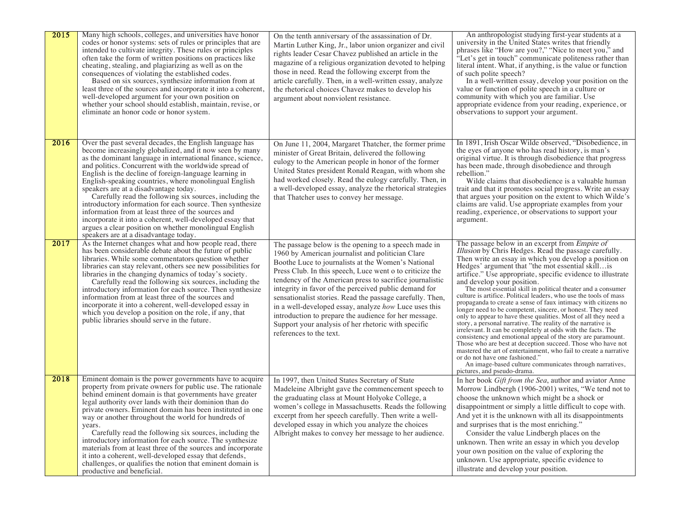| 2015 | Many high schools, colleges, and universities have honor<br>codes or honor systems: sets of rules or principles that are<br>intended to cultivate integrity. These rules or principles<br>often take the form of written positions on practices like<br>cheating, stealing, and plagiarizing as well as on the<br>consequences of violating the established codes.<br>Based on six sources, synthesize information from at<br>least three of the sources and incorporate it into a coherent,<br>well-developed argument for your own position on<br>whether your school should establish, maintain, revise, or<br>eliminate an honor code or honor system.                                                                                           | On the tenth anniversary of the assassination of Dr.<br>Martin Luther King, Jr., labor union organizer and civil<br>rights leader Cesar Chavez published an article in the<br>magazine of a religious organization devoted to helping<br>those in need. Read the following excerpt from the<br>article carefully. Then, in a well-written essay, analyze<br>the rhetorical choices Chavez makes to develop his<br>argument about nonviolent resistance.                                                                                                                                                          | An anthropologist studying first-year students at a<br>university in the United States writes that friendly<br>phrases like "How are you?," "Nice to meet you," and<br>"Let's get in touch" communicate politeness rather than<br>literal intent. What, if anything, is the value or function<br>of such polite speech?<br>In a well-written essay, develop your position on the<br>value or function of polite speech in a culture or<br>community with which you are familiar. Use<br>appropriate evidence from your reading, experience, or<br>observations to support your argument.                                                                                                                                                                                                                                                                                                                                                                                                                                                                                                                                           |
|------|------------------------------------------------------------------------------------------------------------------------------------------------------------------------------------------------------------------------------------------------------------------------------------------------------------------------------------------------------------------------------------------------------------------------------------------------------------------------------------------------------------------------------------------------------------------------------------------------------------------------------------------------------------------------------------------------------------------------------------------------------|------------------------------------------------------------------------------------------------------------------------------------------------------------------------------------------------------------------------------------------------------------------------------------------------------------------------------------------------------------------------------------------------------------------------------------------------------------------------------------------------------------------------------------------------------------------------------------------------------------------|------------------------------------------------------------------------------------------------------------------------------------------------------------------------------------------------------------------------------------------------------------------------------------------------------------------------------------------------------------------------------------------------------------------------------------------------------------------------------------------------------------------------------------------------------------------------------------------------------------------------------------------------------------------------------------------------------------------------------------------------------------------------------------------------------------------------------------------------------------------------------------------------------------------------------------------------------------------------------------------------------------------------------------------------------------------------------------------------------------------------------------|
| 2016 | Over the past several decades, the English language has<br>become increasingly globalized, and it now seen by many<br>as the dominant language in international finance, science,<br>and politics. Concurrent with the worldwide spread of<br>English is the decline of foreign-language learning in<br>English-speaking countries, where monolingual English<br>speakers are at a disadvantage today.<br>Carefully read the following six sources, including the<br>introductory information for each source. Then synthesize<br>information from at least three of the sources and<br>incorporate it into a coherent, well-developed essay that<br>argues a clear position on whether monolingual English<br>speakers are at a disadvantage today. | On June 11, 2004, Margaret Thatcher, the former prime<br>minister of Great Britain, delivered the following<br>eulogy to the American people in honor of the former<br>United States president Ronald Reagan, with whom she<br>had worked closely. Read the eulogy carefully. Then, in<br>a well-developed essay, analyze the rhetorical strategies<br>that Thatcher uses to convey her message.                                                                                                                                                                                                                 | In 1891, Irish Oscar Wilde observed, "Disobedience, in<br>the eyes of anyone who has read history, is man's<br>original virtue. It is through disobedience that progress<br>has been made, through disobedience and through<br>rebellion."<br>Wilde claims that disobedience is a valuable human<br>trait and that it promotes social progress. Write an essay<br>that argues your position on the extent to which Wilde's<br>claims are valid. Use appropriate examples from your<br>reading, experience, or observations to support your<br>argument.                                                                                                                                                                                                                                                                                                                                                                                                                                                                                                                                                                            |
| 2017 | As the Internet changes what and how people read, there<br>has been considerable debate about the future of public<br>libraries. While some commentators question whether<br>libraries can stay relevant, others see new possibilities for<br>libraries in the changing dynamics of today's society.<br>Carefully read the following six sources, including the<br>introductory information for each source. Then synthesize<br>information from at least three of the sources and<br>incorporate it into a coherent, well-developed essay in<br>which you develop a position on the role, if any, that<br>public libraries should serve in the future.                                                                                              | The passage below is the opening to a speech made in<br>1960 by American journalist and politician Clare<br>Boothe Luce to journalists at the Women's National<br>Press Club. In this speech, Luce went o to criticize the<br>tendency of the American press to sacrifice journalistic<br>integrity in favor of the perceived public demand for<br>sensationalist stories. Read the passage carefully. Then,<br>in a well-developed essay, analyze how Luce uses this<br>introduction to prepare the audience for her message.<br>Support your analysis of her rhetoric with specific<br>references to the text. | The passage below in an excerpt from <i>Empire of</i><br>Illusion by Chris Hedges. Read the passage carefully.<br>Then write an essay in which you develop a position on<br>Hedges' argument that "the mot essential skill is<br>artifice." Use appropriate, specific evidence to illustrate<br>and develop your position.<br>The most essential skill in political theater and a consumer<br>culture is artifice. Political leaders, who use the tools of mass<br>propaganda to create a sense of faux intimacy with citizens no<br>longer need to be competent, sincere, or honest. They need<br>only to appear to have these qualities. Most of all they need a<br>story, a personal narrative. The reality of the narrative is<br>irrelevant. It can be completely at odds with the facts. The<br>consistency and emotional appeal of the story are paramount.<br>Those who are best at deception succeed. Those who have not<br>mastered the art of entertainment, who fail to create a narrative<br>or do not have one fashioned."<br>An image-based culture communicates through narratives,<br>pictures, and pseudo-drama. |
| 2018 | Eminent domain is the power governments have to acquire<br>property from private owners for public use. The rationale<br>behind eminent domain is that governments have greater<br>legal authority over lands with their dominion than do<br>private owners. Eminent domain has been instituted in one<br>way or another throughout the world for hundreds of<br>years.<br>Carefully read the following six sources, including the<br>introductory information for each source. The synthesize<br>materials from at least three of the sources and incorporate<br>it into a coherent, well-developed essay that defends,<br>challenges, or qualifies the notion that eminent domain is<br>productive and beneficial.                                 | In 1997, then United States Secretary of State<br>Madeleine Albright gave the commencement speech to<br>the graduating class at Mount Holyoke College, a<br>women's college in Massachusetts. Reads the following<br>excerpt from her speech carefully. Then write a well-<br>developed essay in which you analyze the choices<br>Albright makes to convey her message to her audience.                                                                                                                                                                                                                          | In her book Gift from the Sea, author and aviator Anne<br>Morrow Lindbergh (1906-2001) writes, "We tend not to<br>choose the unknown which might be a shock or<br>disappointment or simply a little difficult to cope with.<br>And yet it is the unknown with all its disappointments<br>and surprises that is the most enriching."<br>Consider the value Lindbergh places on the<br>unknown. Then write an essay in which you develop<br>your own position on the value of exploring the<br>unknown. Use appropriate, specific evidence to<br>illustrate and develop your position.                                                                                                                                                                                                                                                                                                                                                                                                                                                                                                                                               |